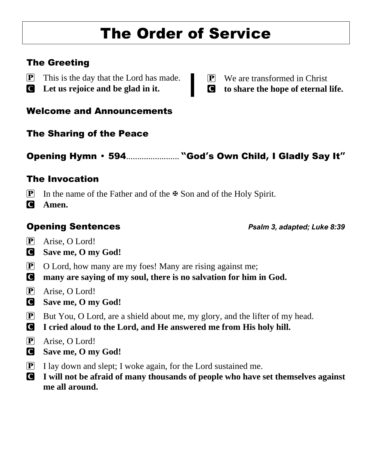# The Order of Service

# The Greeting

- $\left[ \mathbf{P} \right]$  This is the day that the Lord has made.
- C **Let us rejoice and be glad in it.**

 $[P]$  We are transformed in Christ

C **to share the hope of eternal life.**

Welcome and Announcements

The Sharing of the Peace

# Opening Hymn 594........................ **"**God**'**s Own Child**,** I Gladly Say It**"**

# The Invocation

- **P** In the name of the Father and of the  $\mathbb{F}$  Son and of the Holy Spirit.
- C **Amen.**

Opening Sentences *Psalm 3, adapted; Luke 8:39*

- P Arise, O Lord!
- C **Save me, O my God!**
- $\boxed{\mathbf{P}}$  O Lord, how many are my foes! Many are rising against me;
- C **many are saying of my soul, there is no salvation for him in God.**
- P Arise, O Lord!
- C **Save me, O my God!**
- $\mathbf{P}$  But You, O Lord, are a shield about me, my glory, and the lifter of my head.
- C **I cried aloud to the Lord, and He answered me from His holy hill.**
- P Arise, O Lord!
- C **Save me, O my God!**
- $\boxed{\mathbf{P}}$  I lay down and slept; I woke again, for the Lord sustained me.
- C **I will not be afraid of many thousands of people who have set themselves against me all around.**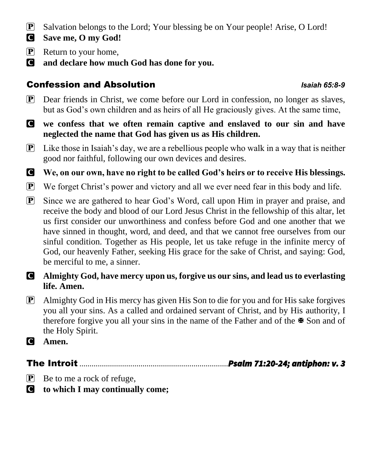- P Salvation belongs to the Lord; Your blessing be on Your people! Arise, O Lord!
- C **Save me, O my God!**
- $\boxed{\mathbf{P}}$  Return to your home,
- C **and declare how much God has done for you.**

# Confession and Absolution *Isaiah 65:8-9*

- P Dear friends in Christ, we come before our Lord in confession, no longer as slaves, but as God's own children and as heirs of all He graciously gives. At the same time,
- C **we confess that we often remain captive and enslaved to our sin and have neglected the name that God has given us as His children.**
- $\mathbf{P}$  Like those in Isaiah's day, we are a rebellious people who walk in a way that is neither good nor faithful, following our own devices and desires.

C **We, on our own, have no right to be called God's heirs or to receive His blessings.**

- P We forget Christ's power and victory and all we ever need fear in this body and life.
- P Since we are gathered to hear God's Word, call upon Him in prayer and praise, and receive the body and blood of our Lord Jesus Christ in the fellowship of this altar, let us first consider our unworthiness and confess before God and one another that we have sinned in thought, word, and deed, and that we cannot free ourselves from our sinful condition. Together as His people, let us take refuge in the infinite mercy of God, our heavenly Father, seeking His grace for the sake of Christ, and saying: God, be merciful to me, a sinner.
- C **Almighty God, have mercy upon us, forgive us our sins, and lead us to everlasting life. Amen.**
- P Almighty God in His mercy has given His Son to die for you and for His sake forgives you all your sins. As a called and ordained servant of Christ, and by His authority, I therefore forgive you all your sins in the name of the Father and of the  $\mathbb{R}$  Son and of the Holy Spirit.
- C **Amen.**

The Introit .........................................................................*Psalm 71:20-24; antiphon: v. 3*

- $\boxed{\mathbf{P}}$  Be to me a rock of refuge,
- C **to which I may continually come;**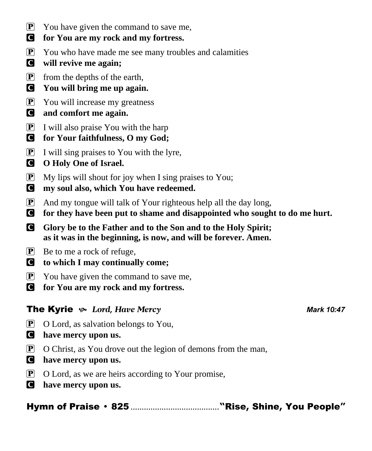- $\overline{P}$  You have given the command to save me,
- C **for You are my rock and my fortress.**
- $\mathbf{P}$  You who have made me see many troubles and calamities
- C **will revive me again;**
- $\boxed{\mathbf{P}}$  from the depths of the earth,
- C **You will bring me up again.**
- $\overline{P}$  You will increase my greatness
- C **and comfort me again.**
- P I will also praise You with the harp
- C **for Your faithfulness, O my God;**
- P I will sing praises to You with the lyre,
- C **O Holy One of Israel.**
- $\boxed{\mathbf{P}}$  My lips will shout for joy when I sing praises to You;
- C **my soul also, which You have redeemed.**
- $\boxed{\mathbf{P}}$  And my tongue will talk of Your righteous help all the day long,
- C **for they have been put to shame and disappointed who sought to do me hurt.**
- C **Glory be to the Father and to the Son and to the Holy Spirit; as it was in the beginning, is now, and will be forever. Amen.**
- $\mathbf{P}$  Be to me a rock of refuge,
- C **to which I may continually come;**
- P You have given the command to save me,
- C **for You are my rock and my fortress.**

# The Kyrie  $\sim$  Lord, Have Mercy *Mark 10:47*

- $\boxed{\mathbf{P}}$  O Lord, as salvation belongs to You,
- C **have mercy upon us.**
- $\boxed{\mathbf{P}}$  O Christ, as You drove out the legion of demons from the man,
- C **have mercy upon us.**
- $\mathbf{P}$  O Lord, as we are heirs according to Your promise,
- C **have mercy upon us.**

Hymn of Praise 825 ........................................**"**Rise**,** Shine**,** You People**"**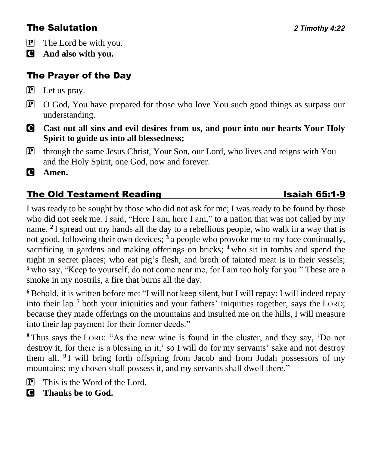# The Salutation *2 Timothy 4:22*

- P The Lord be with you.
- C **And also with you.**

# The Prayer of the Day

- P Let us pray.
- P O God, You have prepared for those who love You such good things as surpass our understanding.
- **C** Cast out all sins and evil desires from us, and pour into our hearts Your Holy **Spirit to guide us into all blessedness;**
- P through the same Jesus Christ, Your Son, our Lord, who lives and reigns with You and the Holy Spirit, one God, now and forever.

C **Amen.**

# The Old Testament Reading **Isaiah 65:1-9**

I was ready to be sought by those who did not ask for me; I was ready to be found by those who did not seek me. I said, "Here I am, here I am," to a nation that was not called by my name. **<sup>2</sup>** I spread out my hands all the day to a rebellious people, who walk in a way that is not good, following their own devices; **<sup>3</sup>** a people who provoke me to my face continually, sacrificing in gardens and making offerings on bricks; **<sup>4</sup>** who sit in tombs and spend the night in secret places; who eat pig's flesh, and broth of tainted meat is in their vessels; **<sup>5</sup>** who say, "Keep to yourself, do not come near me, for I am too holy for you." These are a smoke in my nostrils, a fire that burns all the day.

**<sup>6</sup>** Behold, it is written before me: "I will not keep silent, but I will repay; I will indeed repay into their lap **<sup>7</sup>** both your iniquities and your fathers' iniquities together, says the LORD; because they made offerings on the mountains and insulted me on the hills, I will measure into their lap payment for their former deeds."

**<sup>8</sup>** Thus says the LORD: "As the new wine is found in the cluster, and they say, 'Do not destroy it, for there is a blessing in it,' so I will do for my servants' sake and not destroy them all. **<sup>9</sup>** I will bring forth offspring from Jacob and from Judah possessors of my mountains; my chosen shall possess it, and my servants shall dwell there."

- $[P]$  This is the Word of the Lord.
- C **Thanks be to God.**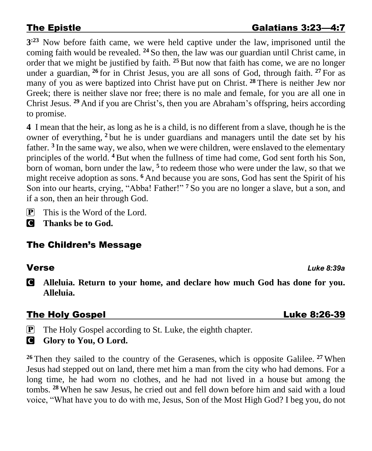**3 :23** Now before faith came, we were held captive under the law, imprisoned until the coming faith would be revealed. **<sup>24</sup>** So then, the law was our guardian until Christ came, in order that we might be justified by faith. **<sup>25</sup>**But now that faith has come, we are no longer under a guardian, **<sup>26</sup>** for in Christ Jesus, you are all sons of God, through faith. **<sup>27</sup>** For as many of you as were baptized into Christ have put on Christ. **<sup>28</sup>** There is neither Jew nor Greek; there is neither slave nor free; there is no male and female, for you are all one in Christ Jesus. **<sup>29</sup>** And if you are Christ's, then you are Abraham's offspring, heirs according to promise.

**4** I mean that the heir, as long as he is a child, is no different from a slave, though he is the owner of everything, **<sup>2</sup>** but he is under guardians and managers until the date set by his father. **<sup>3</sup>** In the same way, we also, when we were children, were enslaved to the elementary principles of the world. **<sup>4</sup>** But when the fullness of time had come, God sent forth his Son, born of woman, born under the law, **<sup>5</sup>** to redeem those who were under the law, so that we might receive adoption as sons. **<sup>6</sup>** And because you are sons, God has sent the Spirit of his Son into our hearts, crying, "Abba! Father!" **<sup>7</sup>** So you are no longer a slave, but a son, and if a son, then an heir through God.

- $\mathbf{P}$  This is the Word of the Lord.
- C **Thanks be to God.**

# The Children's Message

Verse *Luke 8:39a*

C **Alleluia. Return to your home, and declare how much God has done for you. Alleluia.** 

# The Holy Gospel Luke 8:26-39

**P** The Holy Gospel according to St. Luke, the eighth chapter.

**G** Glory to You, O Lord.

**<sup>26</sup>** Then they sailed to the country of the Gerasenes, which is opposite Galilee. **<sup>27</sup>** When Jesus had stepped out on land, there met him a man from the city who had demons. For a long time, he had worn no clothes, and he had not lived in a house but among the tombs. **<sup>28</sup>** When he saw Jesus, he cried out and fell down before him and said with a loud voice, "What have you to do with me, Jesus, Son of the Most High God? I beg you, do not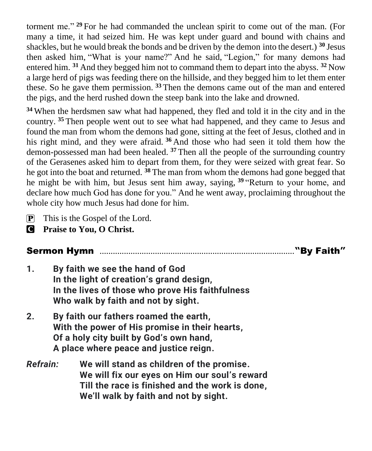torment me." **<sup>29</sup>** For he had commanded the unclean spirit to come out of the man. (For many a time, it had seized him. He was kept under guard and bound with chains and shackles, but he would break the bonds and be driven by the demon into the desert.) **<sup>30</sup>** Jesus then asked him, "What is your name?" And he said, "Legion," for many demons had entered him. **<sup>31</sup>** And they begged him not to command them to depart into the abyss. **<sup>32</sup>** Now a large herd of pigs was feeding there on the hillside, and they begged him to let them enter these. So he gave them permission. **<sup>33</sup>** Then the demons came out of the man and entered the pigs, and the herd rushed down the steep bank into the lake and drowned.

**<sup>34</sup>** When the herdsmen saw what had happened, they fled and told it in the city and in the country. **<sup>35</sup>** Then people went out to see what had happened, and they came to Jesus and found the man from whom the demons had gone, sitting at the feet of Jesus, clothed and in his right mind, and they were afraid. **<sup>36</sup>** And those who had seen it told them how the demon-possessed man had been healed. **<sup>37</sup>** Then all the people of the surrounding country of the Gerasenes asked him to depart from them, for they were seized with great fear. So he got into the boat and returned. **<sup>38</sup>** The man from whom the demons had gone begged that he might be with him, but Jesus sent him away, saying, **<sup>39</sup>** "Return to your home, and declare how much God has done for you." And he went away, proclaiming throughout the whole city how much Jesus had done for him.

- $\boxed{\mathbf{P}}$  This is the Gospel of the Lord.
- C **Praise to You, O Christ.**

# Sermon Hymn ........................................................................................**"**By Faith**"**

- **1. By faith we see the hand of God In the light of creation's grand design, In the lives of those who prove His faithfulness Who walk by faith and not by sight.**
- **2. By faith our fathers roamed the earth, With the power of His promise in their hearts, Of a holy city built by God's own hand, A place where peace and justice reign.**
- *Refrain:* **We will stand as children of the promise. We will fix our eyes on Him our soul's reward Till the race is finished and the work is done, We'll walk by faith and not by sight.**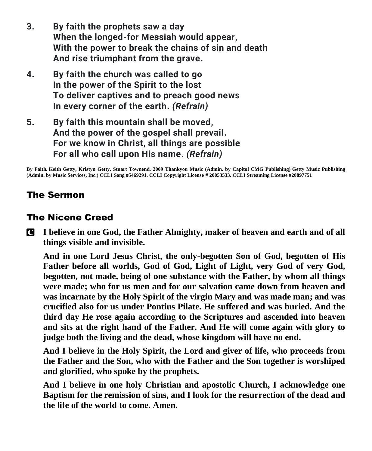- **3. By faith the prophets saw a day When the longed-for Messiah would appear, With the power to break the chains of sin and death And rise triumphant from the grave.**
- **4. By faith the church was called to go In the power of the Spirit to the lost To deliver captives and to preach good news In every corner of the earth.** *(Refrain)*
- **5. By faith this mountain shall be moved, And the power of the gospel shall prevail. For we know in Christ, all things are possible For all who call upon His name.** *(Refrain)*

**By Faith. Keith Getty, Kristyn Getty, Stuart Townend. 2009 Thankyou Music (Admin. by Capitol CMG Publishing) Getty Music Publishing (Admin. by Music Services, Inc.) CCLI Song #5469291. CCLI Copyright License # 20053533. CCLI Streaming License #20897751**

# The Sermon

## The Nicene Creed

C **I believe in one God, the Father Almighty, maker of heaven and earth and of all things visible and invisible.**

**And in one Lord Jesus Christ, the only-begotten Son of God, begotten of His Father before all worlds, God of God, Light of Light, very God of very God, begotten, not made, being of one substance with the Father, by whom all things were made; who for us men and for our salvation came down from heaven and was incarnate by the Holy Spirit of the virgin Mary and was made man; and was crucified also for us under Pontius Pilate. He suffered and was buried. And the third day He rose again according to the Scriptures and ascended into heaven and sits at the right hand of the Father. And He will come again with glory to judge both the living and the dead, whose kingdom will have no end.**

**And I believe in the Holy Spirit, the Lord and giver of life, who proceeds from the Father and the Son, who with the Father and the Son together is worshiped and glorified, who spoke by the prophets.** 

**And I believe in one holy Christian and apostolic Church, I acknowledge one Baptism for the remission of sins, and I look for the resurrection of the dead and the life of the world to come. Amen.**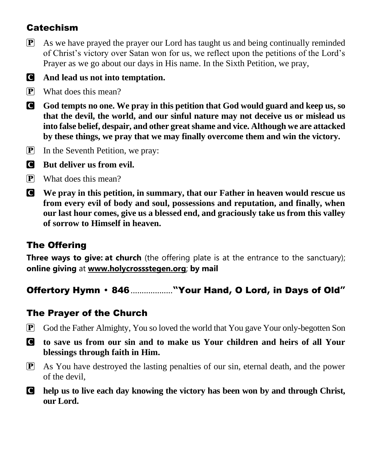# **Catechism**

 $\mathbf{P}$  As we have prayed the prayer our Lord has taught us and being continually reminded of Christ's victory over Satan won for us, we reflect upon the petitions of the Lord's Prayer as we go about our days in His name. In the Sixth Petition, we pray,

# C **And lead us not into temptation.**

- P What does this mean?
- C **God tempts no one. We pray in this petition that God would guard and keep us, so that the devil, the world, and our sinful nature may not deceive us or mislead us into false belief, despair, and other great shame and vice. Although we are attacked by these things, we pray that we may finally overcome them and win the victory.**
- P In the Seventh Petition, we pray:
- C **But deliver us from evil.**
- $\overline{P}$  What does this mean?
- C **We pray in this petition, in summary, that our Father in heaven would rescue us from every evil of body and soul, possessions and reputation, and finally, when our last hour comes, give us a blessed end, and graciously take us from this valley of sorrow to Himself in heaven.**

# The Offering

**Three ways to give: at church** (the offering plate is at the entrance to the sanctuary); **online giving** at **[www.holycrossstegen.org](http://www.holycrossstegen.org/)**; **by mail**

Offertory Hymn 846...................**"**Your Hand**,** O Lord**,** in Days of Old**"**

# The Prayer of the Church

- P God the Father Almighty, You so loved the world that You gave Your only-begotten Son
- C **to save us from our sin and to make us Your children and heirs of all Your blessings through faith in Him.**
- $\mathbf{P}$  As You have destroyed the lasting penalties of our sin, eternal death, and the power of the devil,
- C **help us to live each day knowing the victory has been won by and through Christ, our Lord.**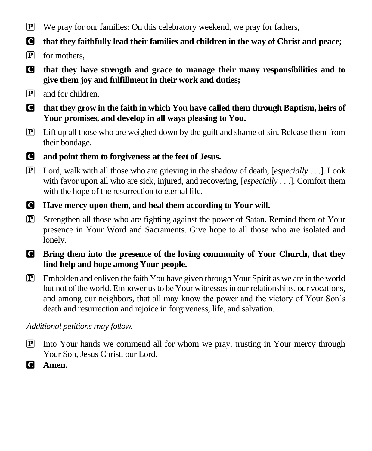- $\boxed{\mathbf{P}}$  We pray for our families: On this celebratory weekend, we pray for fathers,
- C **that they faithfully lead their families and children in the way of Christ and peace;**
- P for mothers,
- C **that they have strength and grace to manage their many responsibilities and to give them joy and fulfillment in their work and duties;**
- P and for children,
- C **that they grow in the faith in which You have called them through Baptism, heirs of Your promises, and develop in all ways pleasing to You.**
- P Lift up all those who are weighed down by the guilt and shame of sin. Release them from their bondage,
- C **and point them to forgiveness at the feet of Jesus.**
- P Lord, walk with all those who are grieving in the shadow of death, [*especially* . . .]. Look with favor upon all who are sick, injured, and recovering, [*especially* . . .]. Comfort them with the hope of the resurrection to eternal life.
- C **Have mercy upon them, and heal them according to Your will.**
- P Strengthen all those who are fighting against the power of Satan. Remind them of Your presence in Your Word and Sacraments. Give hope to all those who are isolated and lonely.
- C **Bring them into the presence of the loving community of Your Church, that they find help and hope among Your people.**
- P Embolden and enliven the faith You have given through Your Spirit as we are in the world but not of the world. Empower us to be Your witnesses in our relationships, our vocations, and among our neighbors, that all may know the power and the victory of Your Son's death and resurrection and rejoice in forgiveness, life, and salvation.

# *Additional petitions may follow.*

- P Into Your hands we commend all for whom we pray, trusting in Your mercy through Your Son, Jesus Christ, our Lord.
- C **Amen.**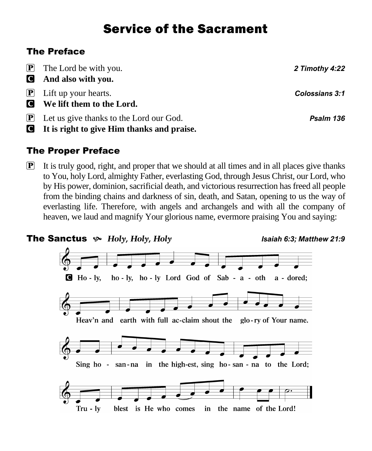# Service of the Sacrament

# The Preface

| $\mathbf{P}$ The Lord be with you.                                              | 2 Timothy 4:22 |
|---------------------------------------------------------------------------------|----------------|
| And also with you.                                                              |                |
| $\boxed{\mathbf{P}}$ Lift up your hearts.<br><b>Q</b> We lift them to the Lord. | Colossians 3:1 |
| $\boxed{\mathbf{P}}$ Let us give thanks to the Lord our God.                    | Psalm 136      |

C **It is right to give Him thanks and praise.** 

# The Proper Preface

 $\mathbf{P}$  It is truly good, right, and proper that we should at all times and in all places give thanks to You, holy Lord, almighty Father, everlasting God, through Jesus Christ, our Lord, who by His power, dominion, sacrificial death, and victorious resurrection has freed all people from the binding chains and darkness of sin, death, and Satan, opening to us the way of everlasting life. Therefore, with angels and archangels and with all the company of heaven, we laud and magnify Your glorious name, evermore praising You and saying:

## The Sanctus *Holy, Holy, Holy Isaiah 6:3; Matthew 21:9*



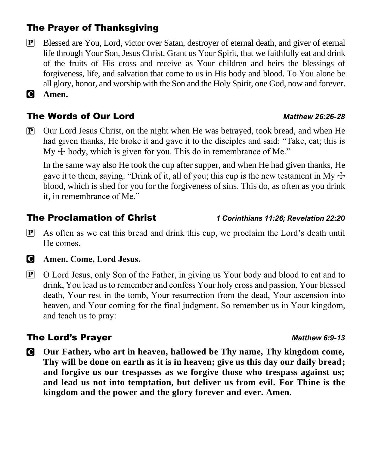# The Prayer of Thanksgiving

P Blessed are You, Lord, victor over Satan, destroyer of eternal death, and giver of eternal life through Your Son, Jesus Christ. Grant us Your Spirit, that we faithfully eat and drink of the fruits of His cross and receive as Your children and heirs the blessings of forgiveness, life, and salvation that come to us in His body and blood. To You alone be all glory, honor, and worship with the Son and the Holy Spirit, one God, now and forever.

C **Amen.**

# The Words of Our Lord *Matthew 26:26-28*

P Our Lord Jesus Christ, on the night when He was betrayed, took bread, and when He had given thanks, He broke it and gave it to the disciples and said: "Take, eat; this is My  $\pm$  body, which is given for you. This do in remembrance of Me."

In the same way also He took the cup after supper, and when He had given thanks, He gave it to them, saying: "Drink of it, all of you; this cup is the new testament in My  $\pm$ blood, which is shed for you for the forgiveness of sins. This do, as often as you drink it, in remembrance of Me."

## The Proclamation of Christ *1 Corinthians 11:26; Revelation 22:20*

- $\mathbf{P}$  As often as we eat this bread and drink this cup, we proclaim the Lord's death until He comes.
- 

## C **Amen. Come, Lord Jesus.**

P O Lord Jesus, only Son of the Father, in giving us Your body and blood to eat and to drink, You lead us to remember and confess Your holy cross and passion, Your blessed death, Your rest in the tomb, Your resurrection from the dead, Your ascension into heaven, and Your coming for the final judgment. So remember us in Your kingdom, and teach us to pray:

# The Lord's Prayer *Matthew 6:9-13*

C **Our Father, who art in heaven, hallowed be Thy name, Thy kingdom come, Thy will be done on earth as it is in heaven; give us this day our daily bread; and forgive us our trespasses as we forgive those who trespass against us; and lead us not into temptation, but deliver us from evil. For Thine is the kingdom and the power and the glory forever and ever. Amen.**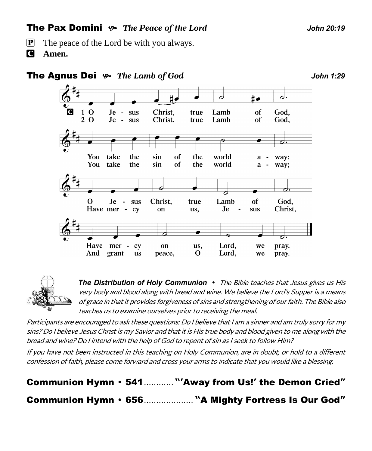# **The Pax Domini**  $\sim$  The Peace of the Lord *John 20:19*

- **P** The peace of the Lord be with you always.
- C **Amen.**





**The Distribution of Holy Communion** • The Bible teaches that Jesus gives us His very body and blood along with bread and wine. We believe the Lord's Supper is a means of grace in that it provides forgiveness of sins and strengthening of our faith. The Bible also teaches us to examine ourselves prior to receiving the meal.

Participants are encouraged to ask these questions: Do I believe that I am a sinner and am truly sorry for my sins? Do I believe Jesus Christ is my Savior and that it is His true body and blood given to me along with the bread and wine? Do I intend with the help of God to repent of sin as I seek to follow Him?

If you have not been instructed in this teaching on Holy Communion, are in doubt, or hold to a different confession of faith, please come forward and cross your arms to indicate that you would like a blessing.

Communion Hymn 541............ **"'**Away from Us!**'** the Demon Cried**"** Communion Hymn 656.................... **"**A Mighty Fortress Is Our God**"**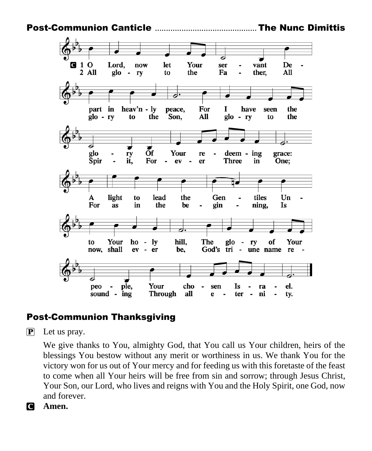Post-Communion Canticle .............................................. The Nunc Dimittis



# Post-Communion Thanksgiving

 $\left| \mathbf{P} \right|$  Let us pray.

We give thanks to You, almighty God, that You call us Your children, heirs of the blessings You bestow without any merit or worthiness in us. We thank You for the victory won for us out of Your mercy and for feeding us with this foretaste of the feast to come when all Your heirs will be free from sin and sorrow; through Jesus Christ, Your Son, our Lord, who lives and reigns with You and the Holy Spirit, one God, now and forever.



C **Amen.**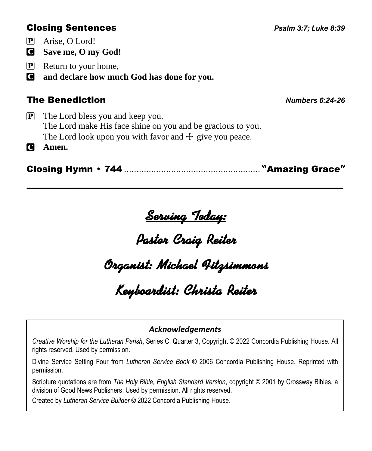# Closing Sentences *Psalm 3:7; Luke 8:39*

P Arise, O Lord!

C **Save me, O my God!**

- P Return to your home,
- C **and declare how much God has done for you.**

# The Benediction *Numbers 6:24-26*

 $\mathbf{P}$  The Lord bless you and keep you. The Lord make His face shine on you and be gracious to you. The Lord look upon you with favor and  $\pm$  give you peace.

C **Amen.**

Closing Hymn 744 ....................................................... **"**Amazing Grace**"**

# <u>Serving Today:</u><br>Pastor Craig Reiter

# .<br>Orqanist: Michael 4itzsimmons<br>Keyboardist: Christa Reiter

## *Acknowledgements*

*Creative Worship for the Lutheran Parish*, Series C, Quarter 3, Copyright © 2022 Concordia Publishing House. All rights reserved. Used by permission.

Divine Service Setting Four from *Lutheran Service Book* © 2006 Concordia Publishing House. Reprinted with permission.

Scripture quotations are from *The Holy Bible, English Standard Version*, copyright © 2001 by Crossway Bibles, a division of Good News Publishers. Used by permission. All rights reserved.

Created by *Lutheran Service Builder* © 2022 Concordia Publishing House.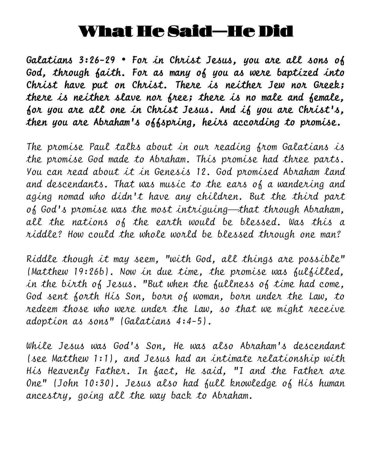# What He Said—He Did

*Galatians 3:26-29 For in Christ Jesus, you are all sons of God, through faith. For as many of you as were baptized into Christ have put on Christ. There is neither Jew nor Greek; there is neither slave nor free; there is no male and female, for you are all one in Christ Jesus. And if you are Christ's, then you are Abraham's offspring, heirs according to promise.* 

*The promise Paul talks about in our reading from Galatians is the promise God made to Abraham. This promise had three parts. You can read about it in Genesis 12. God promised Abraham land and descendants. That was music to the ears of a wandering and aging nomad who didn't have any children. But the third part of God's promise was the most intriguing*⎯*that through Abraham, all the nations of the earth would be blessed. Was this a riddle? How could the whole world be blessed through one man?*

*Riddle though it may seem, "with God, all things are possible" (Matthew 19:26b). Now in due time, the promise was fulfilled, in the birth of Jesus. "But when the fullness of time had come, God sent forth His Son, born of woman, born under the Law, to redeem those who were under the Law, so that we might receive adoption as sons" (Galatians 4:4-5).*

*While Jesus was God's Son, He was also Abraham's descendant (see Matthew 1:1), and Jesus had an intimate relationship with His Heavenly Father. In fact, He said, "I and the Father are One" (John 10:30). Jesus also had full knowledge of His human ancestry, going all the way back to Abraham.*